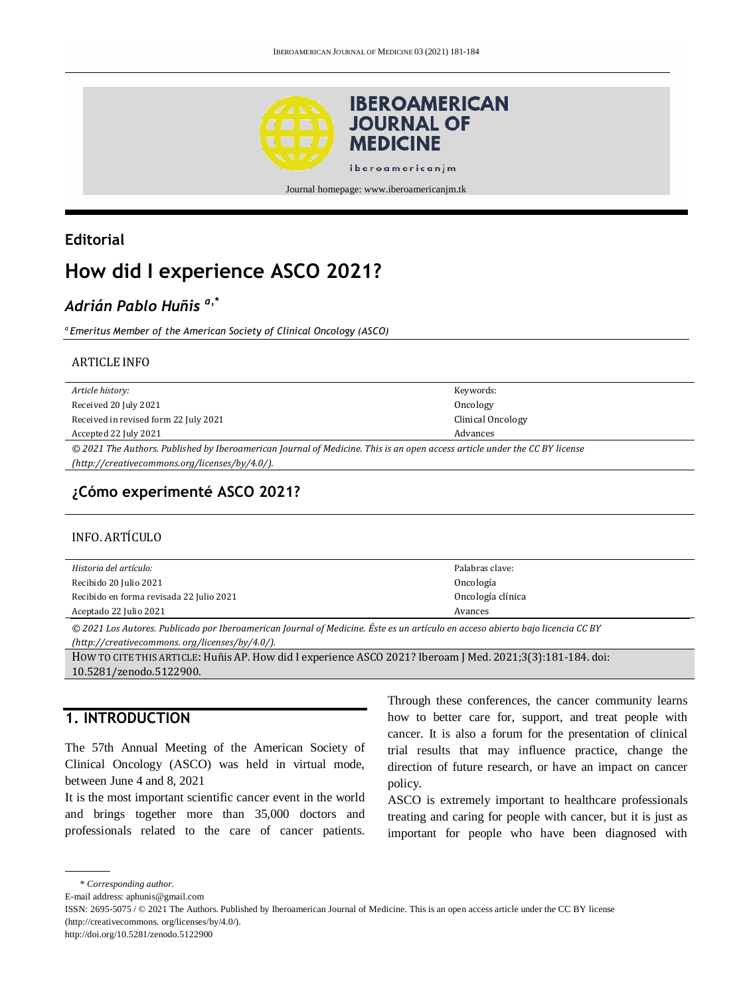

Journal homepage: www.iberoamericanjm.tk

### **Editorial**

# **How did I experience ASCO 2021?**

## *Adrián Pablo Huñis a,\**

*a Emeritus Member of the American Society of Clinical Oncology (ASCO)*

#### ARTICLE INFO

| Article history:                                                                                                           | Keywords:         |
|----------------------------------------------------------------------------------------------------------------------------|-------------------|
| Received 20 July 2021                                                                                                      | Oncology          |
| Received in revised form 22 July 2021                                                                                      | Clinical Oncology |
| Accepted 22 July 2021                                                                                                      | Advances          |
| © 2021 The Authors. Published by Iberoamerican Journal of Medicine. This is an open access article under the CC BY license |                   |
| (http://creativecommons.org/licenses/by/4.0/).                                                                             |                   |
|                                                                                                                            |                   |

### **¿Cómo experimenté ASCO 2021?**

#### INFO. ARTÍCULO

| Historia del artículo:                   | Palabras clave:   |
|------------------------------------------|-------------------|
| Recibido 20 Julio 2021                   | Oncología         |
| Recibido en forma revisada 22 Julio 2021 | Oncología clínica |
| Aceptado 22 Julio 2021                   | Avances           |

*© 2021 Los Autores. Publicado por Iberoamerican Journal of Medicine. Éste es un artículo en acceso abierto bajo licencia CC BY* 

*(http:/[/creativecommons. org/licenses/by/4.0/\)](https://creativecommons.org/licenses/by/4.0/).*

HOW TO CITE THIS ARTICLE: Huñis AP. How did I experience ASCO 2021? Iberoam J Med. 2021;3(3):181-184. doi: [10.5281/zenodo.5122900.](http://doi.org/10.5281/zenodo.5122900)

### **1. INTRODUCTION**

The 57th Annual Meeting of the American Society of Clinical Oncology (ASCO) was held in virtual mode, between June 4 and 8, 2021

It is the most important scientific cancer event in the world and brings together more than 35,000 doctors and professionals related to the care of cancer patients. Through these conferences, the cancer community learns how to better care for, support, and treat people with cancer. It is also a forum for the presentation of clinical trial results that may influence practice, change the direction of future research, or have an impact on cancer policy.

ASCO is extremely important to healthcare professionals treating and caring for people with cancer, but it is just as important for people who have been diagnosed with

```
* Corresponding author.
```
E-mail address: aphunis@gmail.com

ISSN: 2695-5075 / © 2021 The Authors. Published by Iberoamerican Journal of Medicine. This is an open access article under the CC BY license (http://creativecommons. org/licenses/by/4.0/).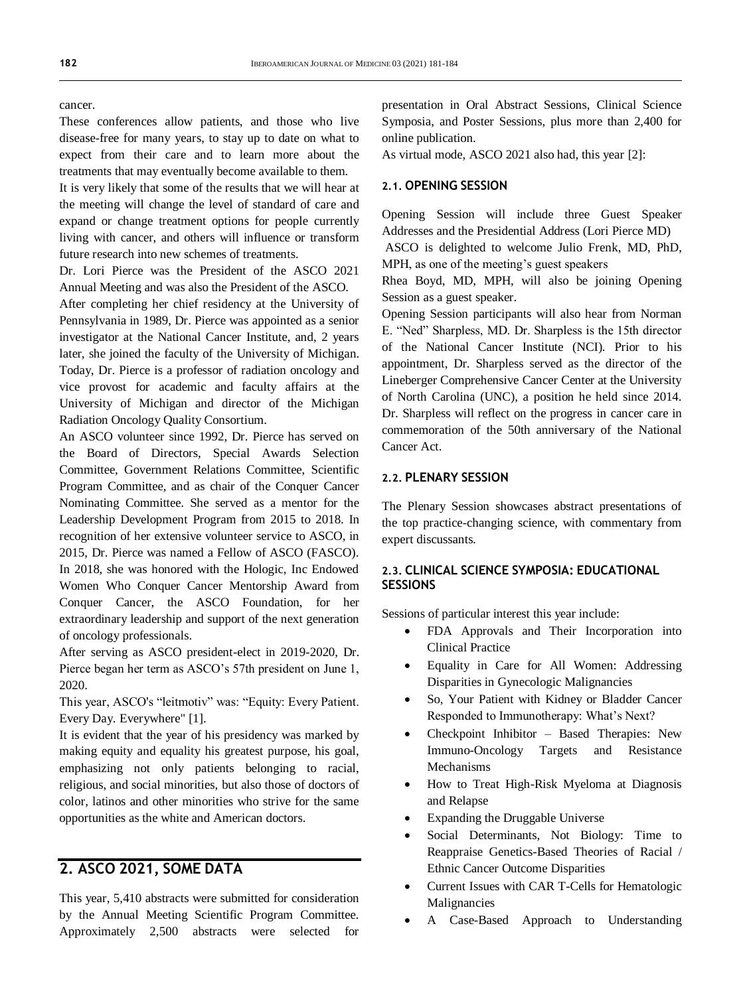cancer.

These conferences allow patients, and those who live disease-free for many years, to stay up to date on what to expect from their care and to learn more about the treatments that may eventually become available to them.

It is very likely that some of the results that we will hear at the meeting will change the level of standard of care and expand or change treatment options for people currently living with cancer, and others will influence or transform future research into new schemes of treatments.

Dr. Lori Pierce was the President of the ASCO 2021 Annual Meeting and was also the President of the ASCO.

After completing her chief residency at the University of Pennsylvania in 1989, Dr. Pierce was appointed as a senior investigator at the National Cancer Institute, and, 2 years later, she joined the faculty of the University of Michigan. Today, Dr. Pierce is a professor of radiation oncology and vice provost for academic and faculty affairs at the University of Michigan and director of the Michigan Radiation Oncology Quality Consortium.

An ASCO volunteer since 1992, Dr. Pierce has served on the Board of Directors, Special Awards Selection Committee, Government Relations Committee, Scientific Program Committee, and as chair of the Conquer Cancer Nominating Committee. She served as a mentor for the Leadership Development Program from 2015 to 2018. In recognition of her extensive volunteer service to ASCO, in 2015, Dr. Pierce was named a Fellow of ASCO (FASCO). In 2018, she was honored with the Hologic, Inc Endowed Women Who Conquer Cancer Mentorship Award from Conquer Cancer, the ASCO Foundation, for her extraordinary leadership and support of the next generation of oncology professionals.

After serving as ASCO president-elect in 2019-2020, Dr. Pierce began her term as ASCO's 57th president on June 1, 2020.

This year, ASCO's "leitmotiv" was: "Equity: Every Patient. Every Day. Everywhere" [1].

It is evident that the year of his presidency was marked by making equity and equality his greatest purpose, his goal, emphasizing not only patients belonging to racial, religious, and social minorities, but also those of doctors of color, latinos and other minorities who strive for the same opportunities as the white and American doctors.

### **2. ASCO 2021, SOME DATA**

This year, 5,410 abstracts were submitted for consideration by the Annual Meeting Scientific Program Committee. Approximately 2,500 abstracts were selected for

presentation in Oral Abstract Sessions, Clinical Science Symposia, and Poster Sessions, plus more than 2,400 for online publication.

As virtual mode, ASCO 2021 also had, this year [2]:

#### **2.1. OPENING SESSION**

Opening Session will include three Guest Speaker Addresses and the Presidential Address (Lori Pierce MD)

ASCO is delighted to welcome Julio Frenk, MD, PhD, MPH, as one of the meeting's guest speakers

Rhea Boyd, MD, MPH, will also be joining Opening Session as a guest speaker.

Opening Session participants will also hear from Norman E. "Ned" Sharpless, MD. Dr. Sharpless is the 15th director of the National Cancer Institute (NCI). Prior to his appointment, Dr. Sharpless served as the director of the Lineberger Comprehensive Cancer Center at the University of North Carolina (UNC), a position he held since 2014. Dr. Sharpless will reflect on the progress in cancer care in commemoration of the 50th anniversary of the National Cancer Act.

#### **2.2. PLENARY SESSION**

The Plenary Session showcases abstract presentations of the top practice-changing science, with commentary from expert discussants.

#### **2.3. CLINICAL SCIENCE SYMPOSIA: EDUCATIONAL SESSIONS**

Sessions of particular interest this year include:

- FDA Approvals and Their Incorporation into Clinical Practice
- Equality in Care for All Women: Addressing Disparities in Gynecologic Malignancies
- So, Your Patient with Kidney or Bladder Cancer Responded to Immunotherapy: What's Next?
- Checkpoint Inhibitor Based Therapies: New Immuno-Oncology Targets and Resistance Mechanisms
- How to Treat High-Risk Myeloma at Diagnosis and Relapse
- Expanding the Druggable Universe
- Social Determinants, Not Biology: Time to Reappraise Genetics-Based Theories of Racial / Ethnic Cancer Outcome Disparities
- Current Issues with CAR T-Cells for Hematologic Malignancies
- A Case-Based Approach to Understanding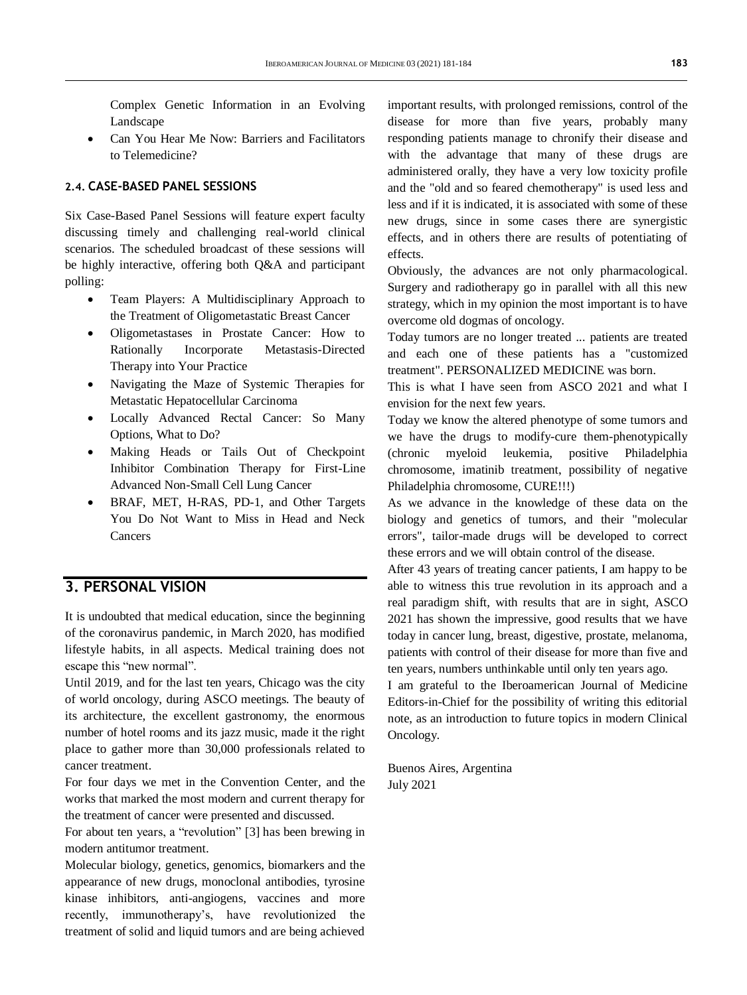Complex Genetic Information in an Evolving Landscape

 Can You Hear Me Now: Barriers and Facilitators to Telemedicine?

#### **2.4. CASE-BASED PANEL SESSIONS**

Six Case-Based Panel Sessions will feature expert faculty discussing timely and challenging real-world clinical scenarios. The scheduled broadcast of these sessions will be highly interactive, offering both Q&A and participant polling:

- Team Players: A Multidisciplinary Approach to the Treatment of Oligometastatic Breast Cancer
- Oligometastases in Prostate Cancer: How to Rationally Incorporate Metastasis-Directed Therapy into Your Practice
- Navigating the Maze of Systemic Therapies for Metastatic Hepatocellular Carcinoma
- Locally Advanced Rectal Cancer: So Many Options, What to Do?
- Making Heads or Tails Out of Checkpoint Inhibitor Combination Therapy for First-Line Advanced Non-Small Cell Lung Cancer
- BRAF, MET, H-RAS, PD-1, and Other Targets You Do Not Want to Miss in Head and Neck Cancers

### **3. PERSONAL VISION**

It is undoubted that medical education, since the beginning of the coronavirus pandemic, in March 2020, has modified lifestyle habits, in all aspects. Medical training does not escape this "new normal".

Until 2019, and for the last ten years, Chicago was the city of world oncology, during ASCO meetings. The beauty of its architecture, the excellent gastronomy, the enormous number of hotel rooms and its jazz music, made it the right place to gather more than 30,000 professionals related to cancer treatment.

For four days we met in the Convention Center, and the works that marked the most modern and current therapy for the treatment of cancer were presented and discussed.

For about ten years, a "revolution" [3] has been brewing in modern antitumor treatment.

Molecular biology, genetics, genomics, biomarkers and the appearance of new drugs, monoclonal antibodies, tyrosine kinase inhibitors, anti-angiogens, vaccines and more recently, immunotherapy's, have revolutionized the treatment of solid and liquid tumors and are being achieved important results, with prolonged remissions, control of the disease for more than five years, probably many responding patients manage to chronify their disease and with the advantage that many of these drugs are administered orally, they have a very low toxicity profile and the "old and so feared chemotherapy" is used less and less and if it is indicated, it is associated with some of these new drugs, since in some cases there are synergistic effects, and in others there are results of potentiating of effects.

Obviously, the advances are not only pharmacological. Surgery and radiotherapy go in parallel with all this new strategy, which in my opinion the most important is to have overcome old dogmas of oncology.

Today tumors are no longer treated ... patients are treated and each one of these patients has a "customized treatment". PERSONALIZED MEDICINE was born.

This is what I have seen from ASCO 2021 and what I envision for the next few years.

Today we know the altered phenotype of some tumors and we have the drugs to modify-cure them-phenotypically (chronic myeloid leukemia, positive Philadelphia chromosome, imatinib treatment, possibility of negative Philadelphia chromosome, CURE!!!)

As we advance in the knowledge of these data on the biology and genetics of tumors, and their "molecular errors", tailor-made drugs will be developed to correct these errors and we will obtain control of the disease.

After 43 years of treating cancer patients, I am happy to be able to witness this true revolution in its approach and a real paradigm shift, with results that are in sight, ASCO 2021 has shown the impressive, good results that we have today in cancer lung, breast, digestive, prostate, melanoma, patients with control of their disease for more than five and ten years, numbers unthinkable until only ten years ago.

I am grateful to the Iberoamerican Journal of Medicine Editors-in-Chief for the possibility of writing this editorial note, as an introduction to future topics in modern Clinical Oncology.

Buenos Aires, Argentina July 2021